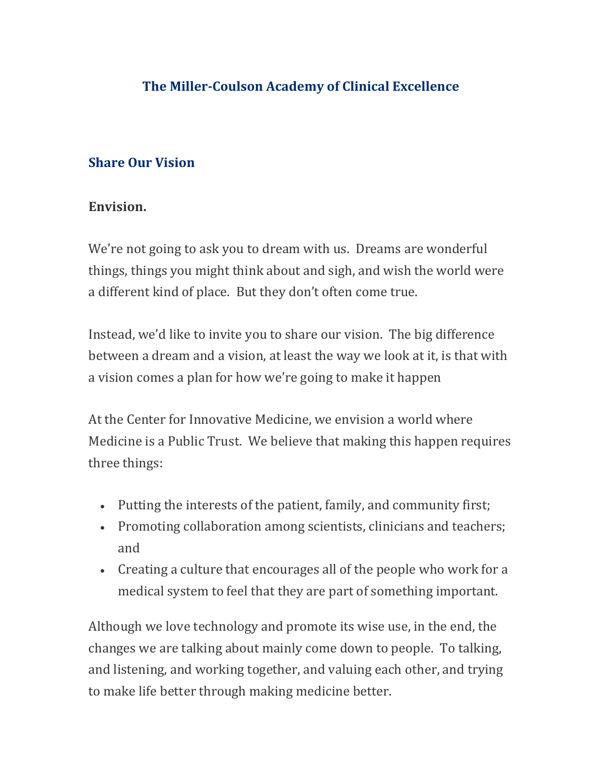## **Share Our Vision**

## **Envision.**

We're not going to ask you to dream with us. Dreams are wonderful things, things you might think about and sigh, and wish the world were a different kind of place. But they don't often come true.

Instead, we'd like to invite you to share our vision. The big difference between a dream and a vision, at least the way we look at it, is that with a vision comes a plan for how we're going to make it happen

At the Center for Innovative Medicine, we envision a world where Medicine is a Public Trust. We believe that making this happen requires three things:

- Putting the interests of the patient, family, and community first;
- Promoting collaboration among scientists, clinicians and teachers; and
- Creating a culture that encourages all of the people who work for a medical system to feel that they are part of something important.

Although we love technology and promote its wise use, in the end, the changes we are talking about mainly come down to people. To talking, and listening, and working together, and valuing each other, and trying to make life better through making medicine better.